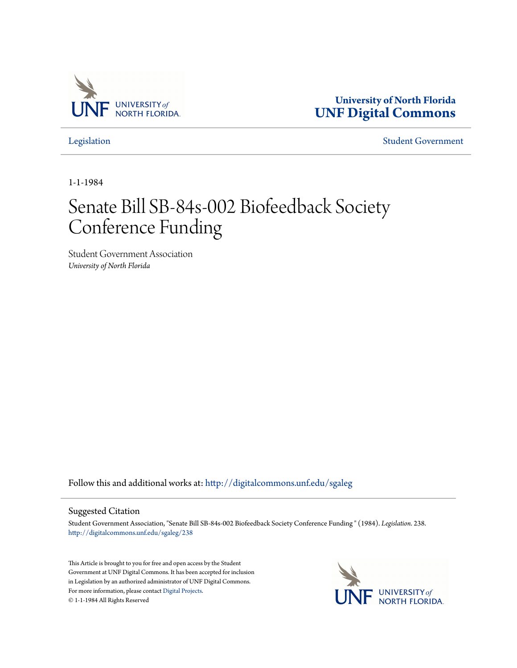

**University of North Florida [UNF Digital Commons](http://digitalcommons.unf.edu?utm_source=digitalcommons.unf.edu%2Fsgaleg%2F238&utm_medium=PDF&utm_campaign=PDFCoverPages)**

[Legislation](http://digitalcommons.unf.edu/sgaleg?utm_source=digitalcommons.unf.edu%2Fsgaleg%2F238&utm_medium=PDF&utm_campaign=PDFCoverPages) [Student Government](http://digitalcommons.unf.edu/sga?utm_source=digitalcommons.unf.edu%2Fsgaleg%2F238&utm_medium=PDF&utm_campaign=PDFCoverPages)

1-1-1984

## Senate Bill SB-84s-002 Biofeedback Society Conference Funding

Student Government Association *University of North Florida*

Follow this and additional works at: [http://digitalcommons.unf.edu/sgaleg](http://digitalcommons.unf.edu/sgaleg?utm_source=digitalcommons.unf.edu%2Fsgaleg%2F238&utm_medium=PDF&utm_campaign=PDFCoverPages)

## Suggested Citation

Student Government Association, "Senate Bill SB-84s-002 Biofeedback Society Conference Funding " (1984). *Legislation*. 238. [http://digitalcommons.unf.edu/sgaleg/238](http://digitalcommons.unf.edu/sgaleg/238?utm_source=digitalcommons.unf.edu%2Fsgaleg%2F238&utm_medium=PDF&utm_campaign=PDFCoverPages)

This Article is brought to you for free and open access by the Student Government at UNF Digital Commons. It has been accepted for inclusion in Legislation by an authorized administrator of UNF Digital Commons. For more information, please contact [Digital Projects](mailto:lib-digital@unf.edu). © 1-1-1984 All Rights Reserved